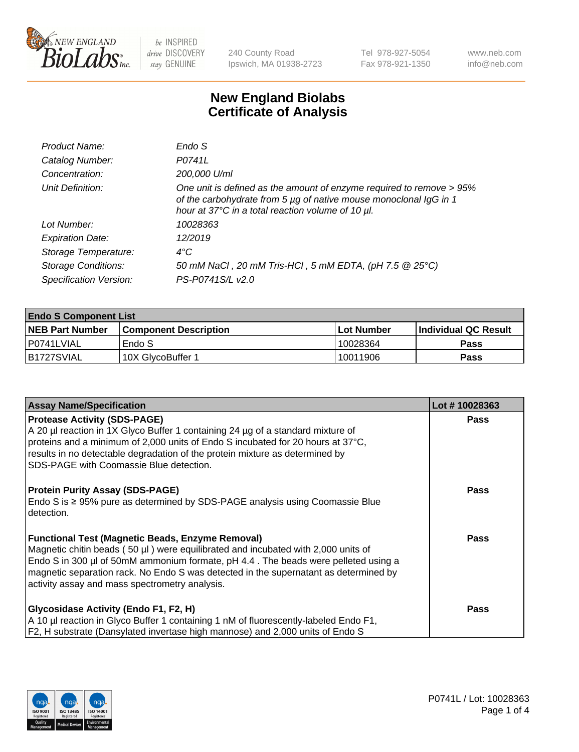

240 County Road Ipswich, MA 01938-2723 Tel 978-927-5054 Fax 978-921-1350 www.neb.com info@neb.com

## **New England Biolabs Certificate of Analysis**

| Product Name:              | Endo S                                                                                                                                                                                         |
|----------------------------|------------------------------------------------------------------------------------------------------------------------------------------------------------------------------------------------|
| Catalog Number:            | P0741L                                                                                                                                                                                         |
| Concentration:             | 200,000 U/ml                                                                                                                                                                                   |
| Unit Definition:           | One unit is defined as the amount of enzyme required to remove > 95%<br>of the carbohydrate from 5 µg of native mouse monoclonal IgG in 1<br>hour at 37°C in a total reaction volume of 10 µl. |
| Lot Number:                | 10028363                                                                                                                                                                                       |
| <b>Expiration Date:</b>    | 12/2019                                                                                                                                                                                        |
| Storage Temperature:       | $4^{\circ}$ C                                                                                                                                                                                  |
| <b>Storage Conditions:</b> | 50 mM NaCl, 20 mM Tris-HCl, 5 mM EDTA, (pH 7.5 @ 25°C)                                                                                                                                         |
| Specification Version:     | PS-P0741S/L v2.0                                                                                                                                                                               |

| <b>Endo S Component List</b> |                              |                   |                       |  |  |
|------------------------------|------------------------------|-------------------|-----------------------|--|--|
| <b>NEB Part Number</b>       | <b>Component Description</b> | <b>Lot Number</b> | ∣Individual QC Result |  |  |
| l P0741LVIAL                 | Endo S                       | 10028364          | <b>Pass</b>           |  |  |
| IB1727SVIAL                  | 10X GlycoBuffer 1            | 10011906          | Pass                  |  |  |

| <b>Assay Name/Specification</b>                                                                                                                                                                                                                                                                                                                                              | Lot #10028363 |
|------------------------------------------------------------------------------------------------------------------------------------------------------------------------------------------------------------------------------------------------------------------------------------------------------------------------------------------------------------------------------|---------------|
| <b>Protease Activity (SDS-PAGE)</b><br>A 20 µl reaction in 1X Glyco Buffer 1 containing 24 µg of a standard mixture of<br>proteins and a minimum of 2,000 units of Endo S incubated for 20 hours at 37°C,<br>results in no detectable degradation of the protein mixture as determined by<br>SDS-PAGE with Coomassie Blue detection.                                         | <b>Pass</b>   |
| <b>Protein Purity Assay (SDS-PAGE)</b><br>Endo S is $\geq$ 95% pure as determined by SDS-PAGE analysis using Coomassie Blue<br>detection.                                                                                                                                                                                                                                    | <b>Pass</b>   |
| <b>Functional Test (Magnetic Beads, Enzyme Removal)</b><br>Magnetic chitin beads (50 µl) were equilibrated and incubated with 2,000 units of<br>Endo S in 300 µl of 50mM ammonium formate, pH 4.4. The beads were pelleted using a<br>magnetic separation rack. No Endo S was detected in the supernatant as determined by<br>activity assay and mass spectrometry analysis. | <b>Pass</b>   |
| <b>Glycosidase Activity (Endo F1, F2, H)</b><br>A 10 µl reaction in Glyco Buffer 1 containing 1 nM of fluorescently-labeled Endo F1,<br>F2, H substrate (Dansylated invertase high mannose) and 2,000 units of Endo S                                                                                                                                                        | <b>Pass</b>   |

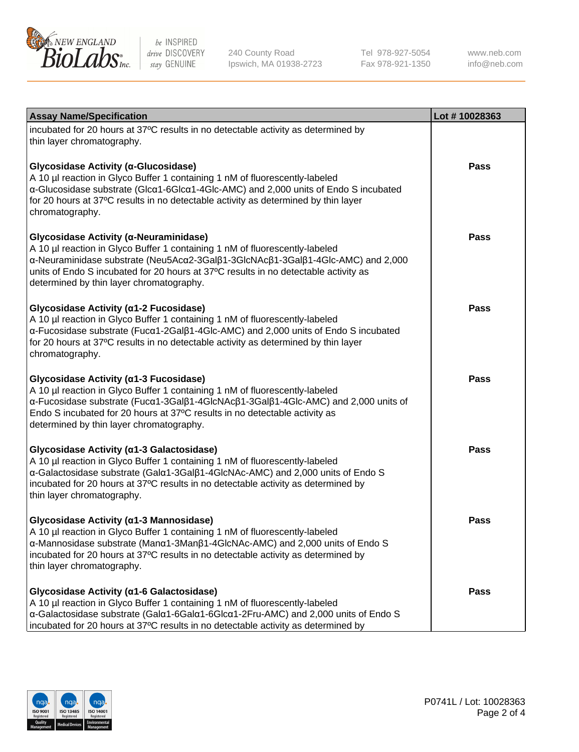

240 County Road Ipswich, MA 01938-2723 Tel 978-927-5054 Fax 978-921-1350

www.neb.com info@neb.com

| <b>Assay Name/Specification</b>                                                                                                                                                                                                                                                                                                                    | Lot #10028363 |
|----------------------------------------------------------------------------------------------------------------------------------------------------------------------------------------------------------------------------------------------------------------------------------------------------------------------------------------------------|---------------|
| incubated for 20 hours at 37°C results in no detectable activity as determined by<br>thin layer chromatography.                                                                                                                                                                                                                                    |               |
| Glycosidase Activity (α-Glucosidase)<br>A 10 µl reaction in Glyco Buffer 1 containing 1 nM of fluorescently-labeled<br>α-Glucosidase substrate (Glcα1-6Glcα1-4Glc-AMC) and 2,000 units of Endo S incubated<br>for 20 hours at 37°C results in no detectable activity as determined by thin layer<br>chromatography.                                | <b>Pass</b>   |
| Glycosidase Activity (α-Neuraminidase)<br>A 10 µl reaction in Glyco Buffer 1 containing 1 nM of fluorescently-labeled<br>α-Neuraminidase substrate (Neu5Acα2-3Galβ1-3GlcNAcβ1-3Galβ1-4Glc-AMC) and 2,000<br>units of Endo S incubated for 20 hours at 37°C results in no detectable activity as<br>determined by thin layer chromatography.        | Pass          |
| Glycosidase Activity (α1-2 Fucosidase)<br>A 10 µl reaction in Glyco Buffer 1 containing 1 nM of fluorescently-labeled<br>α-Fucosidase substrate (Fucα1-2Galβ1-4Glc-AMC) and 2,000 units of Endo S incubated<br>for 20 hours at 37°C results in no detectable activity as determined by thin layer<br>chromatography.                               | Pass          |
| Glycosidase Activity (α1-3 Fucosidase)<br>A 10 µl reaction in Glyco Buffer 1 containing 1 nM of fluorescently-labeled<br>α-Fucosidase substrate (Fucα1-3Galβ1-4GlcNAcβ1-3Galβ1-4Glc-AMC) and 2,000 units of<br>Endo S incubated for 20 hours at 37°C results in no detectable activity as<br>determined by thin layer chromatography.              | <b>Pass</b>   |
| Glycosidase Activity (α1-3 Galactosidase)<br>A 10 µl reaction in Glyco Buffer 1 containing 1 nM of fluorescently-labeled<br>a-Galactosidase substrate (Gala1-3Galß1-4GlcNAc-AMC) and 2,000 units of Endo S<br>incubated for 20 hours at 37°C results in no detectable activity as determined by<br>thin layer chromatography.                      | <b>Pass</b>   |
| Glycosidase Activity (α1-3 Mannosidase)<br>A 10 µl reaction in Glyco Buffer 1 containing 1 nM of fluorescently-labeled<br>$\alpha$ -Mannosidase substrate (Man $\alpha$ 1-3Man $\beta$ 1-4GlcNAc-AMC) and 2,000 units of Endo S<br>incubated for 20 hours at 37°C results in no detectable activity as determined by<br>thin layer chromatography. | Pass          |
| Glycosidase Activity (a1-6 Galactosidase)<br>A 10 µl reaction in Glyco Buffer 1 containing 1 nM of fluorescently-labeled<br>α-Galactosidase substrate (Galα1-6Galα1-6Glcα1-2Fru-AMC) and 2,000 units of Endo S<br>incubated for 20 hours at 37°C results in no detectable activity as determined by                                                | Pass          |

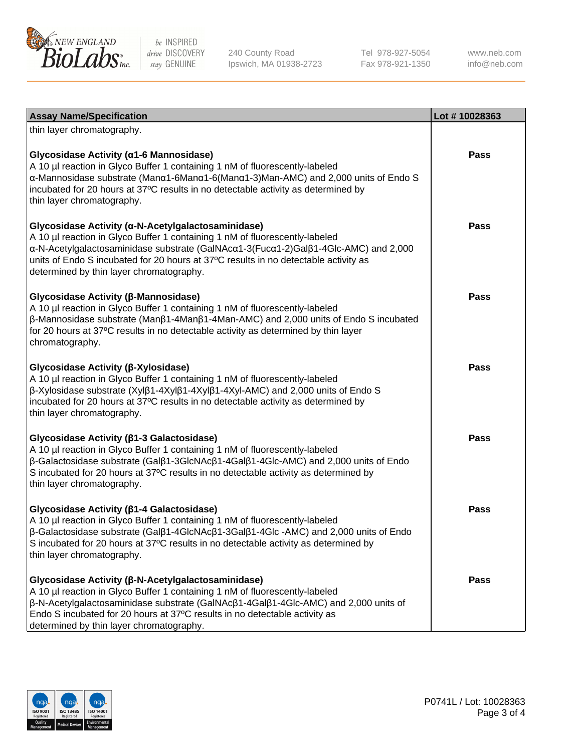

240 County Road Ipswich, MA 01938-2723 Tel 978-927-5054 Fax 978-921-1350

www.neb.com info@neb.com

| <b>Assay Name/Specification</b>                                                                                                                                                                                                                                                                                                                             | Lot #10028363 |
|-------------------------------------------------------------------------------------------------------------------------------------------------------------------------------------------------------------------------------------------------------------------------------------------------------------------------------------------------------------|---------------|
| thin layer chromatography.                                                                                                                                                                                                                                                                                                                                  |               |
| Glycosidase Activity (α1-6 Mannosidase)<br>A 10 µl reaction in Glyco Buffer 1 containing 1 nM of fluorescently-labeled<br>α-Mannosidase substrate (Μanα1-6Μanα1-6(Μanα1-3)Man-AMC) and 2,000 units of Endo S<br>incubated for 20 hours at 37°C results in no detectable activity as determined by<br>thin layer chromatography.                             | <b>Pass</b>   |
| Glycosidase Activity (α-N-Acetylgalactosaminidase)<br>A 10 µl reaction in Glyco Buffer 1 containing 1 nM of fluorescently-labeled<br>α-N-Acetylgalactosaminidase substrate (GalNAcα1-3(Fucα1-2)Galβ1-4Glc-AMC) and 2,000<br>units of Endo S incubated for 20 hours at 37°C results in no detectable activity as<br>determined by thin layer chromatography. | <b>Pass</b>   |
| Glycosidase Activity (β-Mannosidase)<br>A 10 µl reaction in Glyco Buffer 1 containing 1 nM of fluorescently-labeled<br>$\beta$ -Mannosidase substrate (Man $\beta$ 1-4Man $\beta$ 1-4Man-AMC) and 2,000 units of Endo S incubated<br>for 20 hours at 37°C results in no detectable activity as determined by thin layer<br>chromatography.                  | Pass          |
| Glycosidase Activity (β-Xylosidase)<br>A 10 µl reaction in Glyco Buffer 1 containing 1 nM of fluorescently-labeled<br>$\beta$ -Xylosidase substrate (Xyl $\beta$ 1-4Xyl $\beta$ 1-4Xyl $\beta$ 1-4Xyl-AMC) and 2,000 units of Endo S<br>incubated for 20 hours at 37°C results in no detectable activity as determined by<br>thin layer chromatography.     | <b>Pass</b>   |
| Glycosidase Activity (β1-3 Galactosidase)<br>A 10 µl reaction in Glyco Buffer 1 containing 1 nM of fluorescently-labeled<br>β-Galactosidase substrate (Galβ1-3GlcNAcβ1-4Galβ1-4Glc-AMC) and 2,000 units of Endo<br>S incubated for 20 hours at 37°C results in no detectable activity as determined by<br>thin layer chromatography.                        | <b>Pass</b>   |
| Glycosidase Activity (β1-4 Galactosidase)<br>A 10 µl reaction in Glyco Buffer 1 containing 1 nM of fluorescently-labeled<br>β-Galactosidase substrate (Galβ1-4GlcNAcβ1-3Galβ1-4Glc -AMC) and 2,000 units of Endo<br>S incubated for 20 hours at 37°C results in no detectable activity as determined by<br>thin layer chromatography.                       | Pass          |
| Glycosidase Activity (β-N-Acetylgalactosaminidase)<br>A 10 µl reaction in Glyco Buffer 1 containing 1 nM of fluorescently-labeled<br>β-N-Acetylgalactosaminidase substrate (GalNAcβ1-4Galβ1-4Glc-AMC) and 2,000 units of<br>Endo S incubated for 20 hours at 37°C results in no detectable activity as<br>determined by thin layer chromatography.          | <b>Pass</b>   |